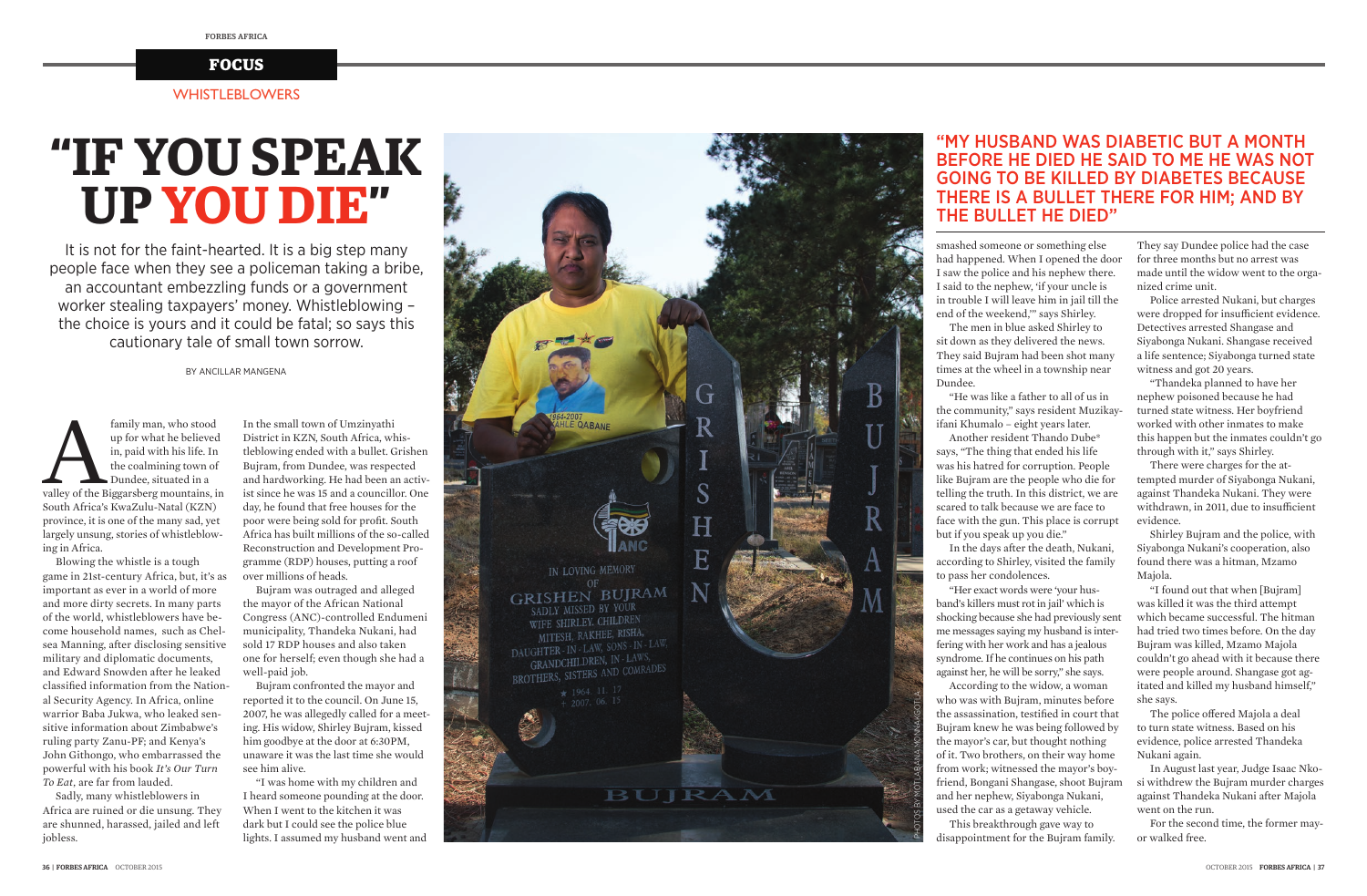

It is not for the faint-hearted. It is a big step many people face when they see a policeman taking a bribe, an accountant embezzling funds or a government worker stealing taxpayers' money. Whistleblowing – the choice is yours and it could be fatal; so says this cautionary tale of small town sorrow.

family man, who stood up for what he believed in, paid with his life. In the coalmining town of Dundee, situated in a valley of the Biggarsberg mountains, in up for what he believed in, paid with his life. In the coalmining town of Dundee, situated in a South Africa's KwaZulu-Natal (KZN) province, it is one of the many sad, yet largely unsung, stories of whistleblowing in Africa.

BY ANCILLAR MANGENA

Blowing the whistle is a tough game in 21st-century Africa, but, it's as important as ever in a world of more and more dirty secrets. In many parts of the world, whistleblowers have become household names, such as Chelsea Manning, after disclosing sensitive military and diplomatic documents, and Edward Snowden after he leaked classified information from the National Security Agency. In Africa, online warrior Baba Jukwa, who leaked sensitive information about Zimbabwe's ruling party Zanu-PF; and Kenya's John Githongo, who embarrassed the powerful with his book *It's Our Turn To Eat*, are far from lauded.

Sadly, many whistleblowers in Africa are ruined or die unsung. They are shunned, harassed, jailed and left jobless.

smashed someone or something else had happened. When I opened the door I saw the police and his nephew there. I said to the nephew, 'if your uncle is in trouble I will leave him in jail till the end of the weekend,'" says Shirley. The men in blue asked Shirley to sit down as they delivered the news. They said Bujram had been shot many times at the wheel in a township near

Dundee.

"He was like a father to all of us in the community," says resident Muzikayifani Khumalo – eight years later. Another resident Thando Dube\* says, "The thing that ended his life was his hatred for corruption. People like Bujram are the people who die for telling the truth. In this district, we are scared to talk because we are face to face with the gun. This place is corrupt but if you speak up you die."

The police offered Majola a deal to turn state witness. Based on his evidence, police arrested Thandeka Nukani again.

In the days after the death, Nukani,

according to Shirley, visited the family to pass her condolences.

"Her exact words were 'your husband's killers must rot in jail' which is shocking because she had previously sent me messages saying my husband is interfering with her work and has a jealous syndrome. If he continues on his path against her, he will be sorry," she says. According to the widow, a woman who was with Bujram, minutes before the assassination, testified in court that Bujram knew he was being followed by the mayor's car, but thought nothing of it. Two brothers, on their way home from work; witnessed the mayor's boyfriend, Bongani Shangase, shoot Bujram and her nephew, Siyabonga Nukani, used the car as a getaway vehicle. This breakthrough gave way to disappointment for the Bujram family.

They say Dundee police had the case for three months but no arrest was made until the widow went to the organized crime unit.

Police arrested Nukani, but charges were dropped for insufficient evidence. Detectives arrested Shangase and Siyabonga Nukani. Shangase received a life sentence; Siyabonga turned state witness and got 20 years.

"Thandeka planned to have her nephew poisoned because he had turned state witness. Her boyfriend worked with other inmates to make this happen but the inmates couldn't go through with it," says Shirley.

There were charges for the attempted murder of Siyabonga Nukani, against Thandeka Nukani. They were withdrawn, in 2011, due to insufficient evidence.

Shirley Bujram and the police, with Siyabonga Nukani's cooperation, also found there was a hitman, Mzamo Majola.

"I found out that when [Bujram] was killed it was the third attempt which became successful. The hitman had tried two times before. On the day Bujram was killed, Mzamo Majola couldn't go ahead with it because there were people around. Shangase got agitated and killed my husband himself," she says.

In August last year, Judge Isaac Nkosi withdrew the Bujram murder charges against Thandeka Nukani after Majola went on the run.

For the second time, the former mayor walked free.

## "MY HUSBAND WAS DIABETIC BUT A MONTH BEFORE HE DIED HE SAID TO ME HE WAS NOT GOING TO BE KILLED BY DIABETES BECAUSE THERE IS A BULLET THERE FOR HIM; AND BY THE BULLET HE DIED"

# **"IF YOU SPEAK UP YOU DIE "**

In the small town of Umzinyathi District in KZN, South Africa, whistleblowing ended with a bullet. Grishen Bujram, from Dundee, was respected and hardworking. He had been an activist since he was 15 and a councillor. One day, he found that free houses for the poor were being sold for profit. South Africa has built millions of the so-called Reconstruction and Development Programme (RDP) houses, putting a roof over millions of heads.

Bujram was outraged and alleged the mayor of the African National Congress (ANC)-controlled Endumeni municipality, Thandeka Nukani, had sold 17 RDP houses and also taken one for herself; even though she had a well-paid job.

Bujram confronted the mayor and reported it to the council. On June 15, 2007, he was allegedly called for a meeting. His widow, Shirley Bujram, kissed him goodbye at the door at 6:30PM, unaware it was the last time she would see him alive.

"I was home with my children and I heard someone pounding at the door. When I went to the kitchen it was dark but I could see the police blue lights. I assumed my husband went and

#### WHISTLEBLOWERS

#### **FOCUS**